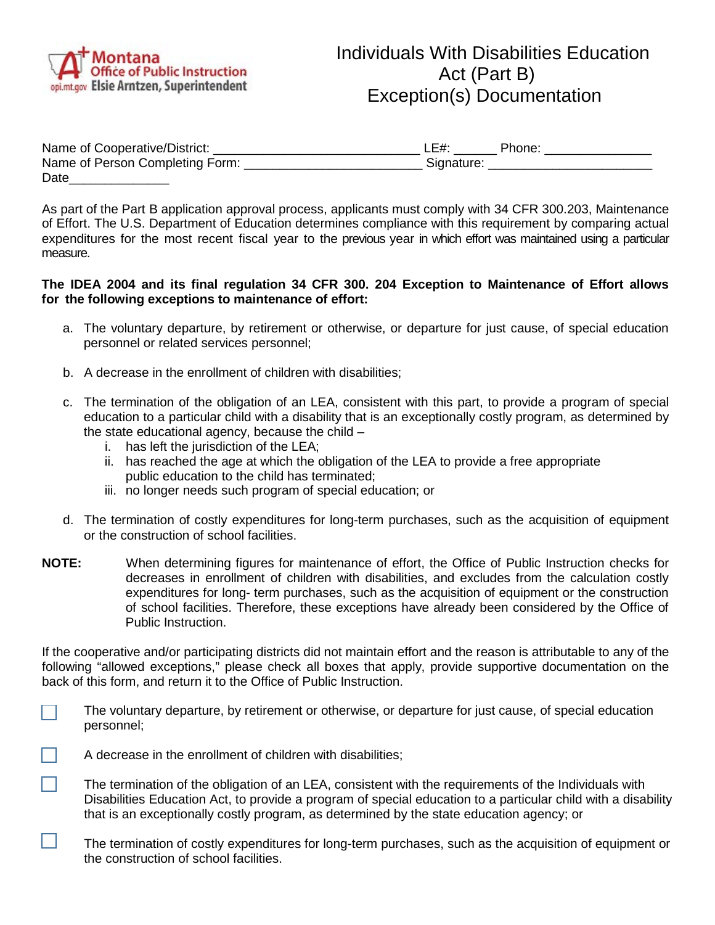

| Name of Cooperative/District:   | ∟E# <sup>.</sup><br>Phone: |
|---------------------------------|----------------------------|
| Name of Person Completing Form: | Signature:                 |
| Date                            |                            |

As part of the Part B application approval process, applicants must comply with 34 CFR 300.203, Maintenance of Effort. The U.S. Department of Education determines compliance with this requirement by comparing actual expenditures for the most recent fiscal year to the previous year in which effort was maintained using a particular measure.

## **The IDEA 2004 and its final regulation 34 CFR 300. 204 Exception to Maintenance of Effort allows for the following exceptions to maintenance of effort:**

- a. The voluntary departure, by retirement or otherwise, or departure for just cause, of special education personnel or related services personnel;
- b. A decrease in the enrollment of children with disabilities;
- c. The termination of the obligation of an LEA, consistent with this part, to provide a program of special education to a particular child with a disability that is an exceptionally costly program, as determined by the state educational agency, because the child –
	- i. has left the jurisdiction of the LEA;
	- ii. has reached the age at which the obligation of the LEA to provide a free appropriate public education to the child has terminated;
	- iii. no longer needs such program of special education; or
- d. The termination of costly expenditures for long-term purchases, such as the acquisition of equipment or the construction of school facilities.
- **NOTE:** When determining figures for maintenance of effort, the Office of Public Instruction checks for decreases in enrollment of children with disabilities, and excludes from the calculation costly expenditures for long- term purchases, such as the acquisition of equipment or the construction of school facilities. Therefore, these exceptions have already been considered by the Office of Public Instruction.

If the cooperative and/or participating districts did not maintain effort and the reason is attributable to any of the following "allowed exceptions," please check all boxes that apply, provide supportive documentation on the back of this form, and return it to the Office of Public Instruction.

- The voluntary departure, by retirement or otherwise, or departure for just cause, of special education personnel;
- A decrease in the enrollment of children with disabilities;
- The termination of the obligation of an LEA, consistent with the requirements of the Individuals with Disabilities Education Act, to provide a program of special education to a particular child with a disability that is an exceptionally costly program, as determined by the state education agency; or
- The termination of costly expenditures for long-term purchases, such as the acquisition of equipment or the construction of school facilities.